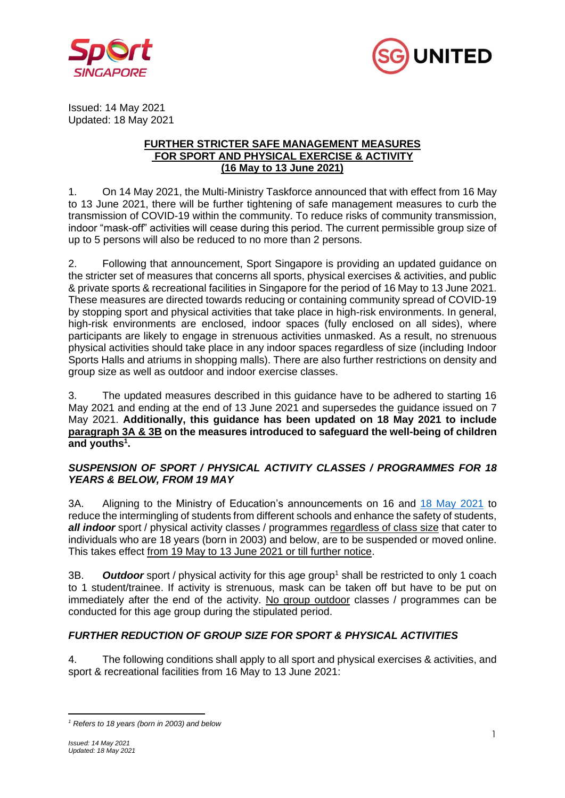



Issued: 14 May 2021 Updated: 18 May 2021

#### **FURTHER STRICTER SAFE MANAGEMENT MEASURES FOR SPORT AND PHYSICAL EXERCISE & ACTIVITY (16 May to 13 June 2021)**

1. On 14 May 2021, the Multi-Ministry Taskforce announced that with effect from 16 May to 13 June 2021, there will be further tightening of safe management measures to curb the transmission of COVID-19 within the community. To reduce risks of community transmission, indoor "mask-off" activities will cease during this period. The current permissible group size of up to 5 persons will also be reduced to no more than 2 persons.

2. Following that announcement, Sport Singapore is providing an updated guidance on the stricter set of measures that concerns all sports, physical exercises & activities, and public & private sports & recreational facilities in Singapore for the period of 16 May to 13 June 2021. These measures are directed towards reducing or containing community spread of COVID-19 by stopping sport and physical activities that take place in high-risk environments. In general, high-risk environments are enclosed, indoor spaces (fully enclosed on all sides), where participants are likely to engage in strenuous activities unmasked. As a result, no strenuous physical activities should take place in any indoor spaces regardless of size (including Indoor Sports Halls and atriums in shopping malls). There are also further restrictions on density and group size as well as outdoor and indoor exercise classes.

3. The updated measures described in this guidance have to be adhered to starting 16 May 2021 and ending at the end of 13 June 2021 and supersedes the guidance issued on 7 May 2021. **Additionally, this guidance has been updated on 18 May 2021 to include paragraph 3A & 3B on the measures introduced to safeguard the well-being of children and youths 1 .**

## *SUSPENSION OF SPORT / PHYSICAL ACTIVITY CLASSES / PROGRAMMES FOR 18 YEARS & BELOW, FROM 19 MAY*

3A. Aligning to the Ministry of Education's announcements on 16 and 18 [May 2021](https://www.moe.gov.sg/faqs-covid-19-infection#tuition_classes) to reduce the intermingling of students from different schools and enhance the safety of students, *all indoor* sport / physical activity classes / programmes regardless of class size that cater to individuals who are 18 years (born in 2003) and below, are to be suspended or moved online. This takes effect from 19 May to 13 June 2021 or till further notice.

3B. *Outdoor* sport / physical activity for this age group<sup>1</sup> shall be restricted to only 1 coach to 1 student/trainee. If activity is strenuous, mask can be taken off but have to be put on immediately after the end of the activity. No group outdoor classes / programmes can be conducted for this age group during the stipulated period.

# *FURTHER REDUCTION OF GROUP SIZE FOR SPORT & PHYSICAL ACTIVITIES*

4. The following conditions shall apply to all sport and physical exercises & activities, and sport & recreational facilities from 16 May to 13 June 2021:

*<sup>1</sup> Refers to 18 years (born in 2003) and below*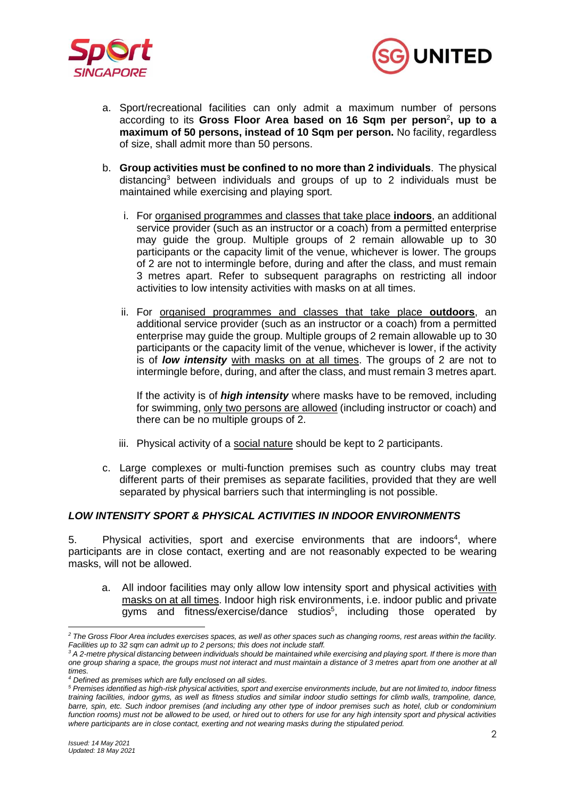



- a. Sport/recreational facilities can only admit a maximum number of persons according to its Gross Floor Area based on 16 Sqm per person<sup>2</sup>, up to a **maximum of 50 persons, instead of 10 Sqm per person.** No facility, regardless of size, shall admit more than 50 persons.
- b. **Group activities must be confined to no more than 2 individuals**. The physical distancing<sup>3</sup> between individuals and groups of up to 2 individuals must be maintained while exercising and playing sport.
	- i. For organised programmes and classes that take place **indoors**, an additional service provider (such as an instructor or a coach) from a permitted enterprise may guide the group. Multiple groups of 2 remain allowable up to 30 participants or the capacity limit of the venue, whichever is lower. The groups of 2 are not to intermingle before, during and after the class, and must remain 3 metres apart. Refer to subsequent paragraphs on restricting all indoor activities to low intensity activities with masks on at all times.
	- ii. For organised programmes and classes that take place **outdoors**, an additional service provider (such as an instructor or a coach) from a permitted enterprise may guide the group. Multiple groups of 2 remain allowable up to 30 participants or the capacity limit of the venue, whichever is lower, if the activity is of *low intensity* with masks on at all times. The groups of 2 are not to intermingle before, during, and after the class, and must remain 3 metres apart.

If the activity is of *high intensity* where masks have to be removed, including for swimming, only two persons are allowed (including instructor or coach) and there can be no multiple groups of 2.

- iii. Physical activity of a social nature should be kept to 2 participants.
- c. Large complexes or multi-function premises such as country clubs may treat different parts of their premises as separate facilities, provided that they are well separated by physical barriers such that intermingling is not possible.

### *LOW INTENSITY SPORT & PHYSICAL ACTIVITIES IN INDOOR ENVIRONMENTS*

5. Physical activities, sport and exercise environments that are indoors<sup>4</sup>, where participants are in close contact, exerting and are not reasonably expected to be wearing masks, will not be allowed.

a. All indoor facilities may only allow low intensity sport and physical activities with masks on at all times. Indoor high risk environments, i.e. indoor public and private gyms and fitness/exercise/dance studios<sup>5</sup>, including those operated by

*<sup>2</sup> The Gross Floor Area includes exercises spaces, as well as other spaces such as changing rooms, rest areas within the facility. Facilities up to 32 sqm can admit up to 2 persons; this does not include staff.* 

*<sup>3</sup> A 2-metre physical distancing between individuals should be maintained while exercising and playing sport. If there is more than one group sharing a space, the groups must not interact and must maintain a distance of 3 metres apart from one another at all times.*

*<sup>4</sup> Defined as premises which are fully enclosed on all sides.*

*<sup>5</sup> Premises identified as high-risk physical activities, sport and exercise environments include, but are not limited to, indoor fitness training facilities, indoor gyms, as well as fitness studios and similar indoor studio settings for climb walls, trampoline, dance, barre, spin, etc. Such indoor premises (and including any other type of indoor premises such as hotel, club or condominium function rooms) must not be allowed to be used, or hired out to others for use for any high intensity sport and physical activities where participants are in close contact, exerting and not wearing masks during the stipulated period.*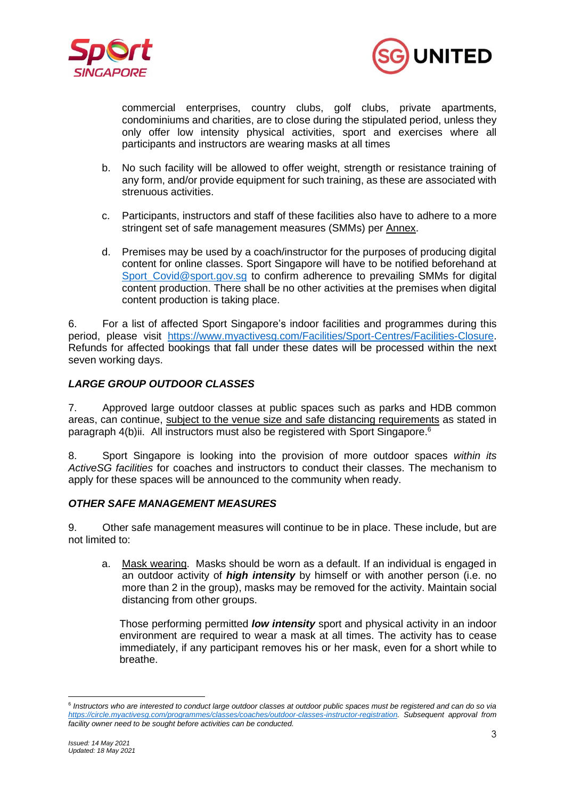



commercial enterprises, country clubs, golf clubs, private apartments, condominiums and charities, are to close during the stipulated period, unless they only offer low intensity physical activities, sport and exercises where all participants and instructors are wearing masks at all times

- b. No such facility will be allowed to offer weight, strength or resistance training of any form, and/or provide equipment for such training, as these are associated with strenuous activities.
- c. Participants, instructors and staff of these facilities also have to adhere to a more stringent set of safe management measures (SMMs) per Annex.
- d. Premises may be used by a coach/instructor for the purposes of producing digital content for online classes. Sport Singapore will have to be notified beforehand at [Sport\\_Covid@sport.gov.sg](mailto:Sport_Covid@sport.gov.sg) to confirm adherence to prevailing SMMs for digital content production. There shall be no other activities at the premises when digital content production is taking place.

6. For a list of affected Sport Singapore's indoor facilities and programmes during this period, please visit [https://www.myactivesg.com/Facilities/Sport-Centres/Facilities-Closure.](https://www.myactivesg.com/Facilities/Sport-Centres/Facilities-Closure) Refunds for affected bookings that fall under these dates will be processed within the next seven working days.

## *LARGE GROUP OUTDOOR CLASSES*

7. Approved large outdoor classes at public spaces such as parks and HDB common areas, can continue, subject to the venue size and safe distancing requirements as stated in paragraph 4(b)ii. All instructors must also be registered with Sport Singapore.<sup>6</sup>

8. Sport Singapore is looking into the provision of more outdoor spaces *within its ActiveSG facilities* for coaches and instructors to conduct their classes. The mechanism to apply for these spaces will be announced to the community when ready.

#### *OTHER SAFE MANAGEMENT MEASURES*

9. Other safe management measures will continue to be in place. These include, but are not limited to:

a. Mask wearing. Masks should be worn as a default. If an individual is engaged in an outdoor activity of *high intensity* by himself or with another person (i.e. no more than 2 in the group), masks may be removed for the activity. Maintain social distancing from other groups.

Those performing permitted *low intensity* sport and physical activity in an indoor environment are required to wear a mask at all times. The activity has to cease immediately, if any participant removes his or her mask, even for a short while to breathe.

<sup>6</sup> *Instructors who are interested to conduct large outdoor classes at outdoor public spaces must be registered and can do so via [https://circle.myactivesg.com/programmes/classes/coaches/outdoor-classes-instructor-registration.](https://circle.myactivesg.com/programmes/classes/coaches/outdoor-classes-instructor-registration) Subsequent approval from facility owner need to be sought before activities can be conducted.*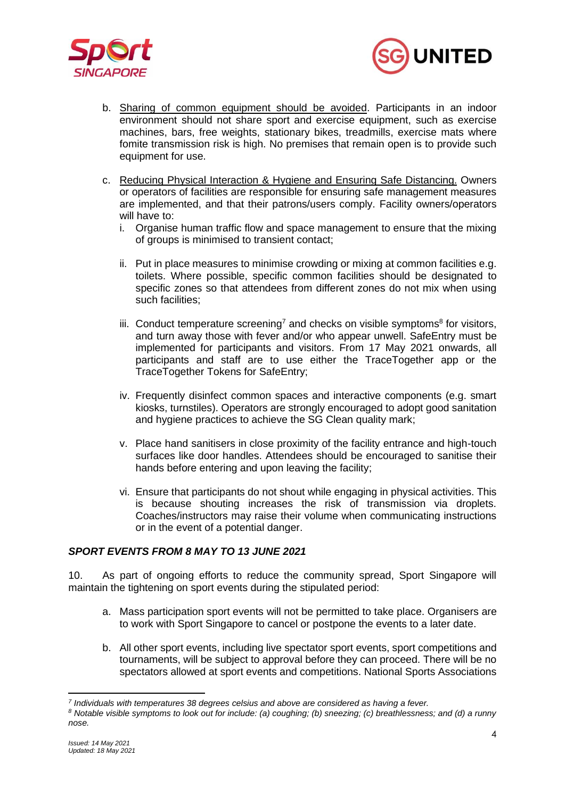



- b. Sharing of common equipment should be avoided. Participants in an indoor environment should not share sport and exercise equipment, such as exercise machines, bars, free weights, stationary bikes, treadmills, exercise mats where fomite transmission risk is high. No premises that remain open is to provide such equipment for use.
- c. Reducing Physical Interaction & Hygiene and Ensuring Safe Distancing. Owners or operators of facilities are responsible for ensuring safe management measures are implemented, and that their patrons/users comply. Facility owners/operators will have to:
	- i. Organise human traffic flow and space management to ensure that the mixing of groups is minimised to transient contact;
	- ii. Put in place measures to minimise crowding or mixing at common facilities e.g. toilets. Where possible, specific common facilities should be designated to specific zones so that attendees from different zones do not mix when using such facilities;
	- iii. Conduct temperature screening<sup>7</sup> and checks on visible symptoms<sup>8</sup> for visitors, and turn away those with fever and/or who appear unwell. SafeEntry must be implemented for participants and visitors. From 17 May 2021 onwards, all participants and staff are to use either the TraceTogether app or the TraceTogether Tokens for SafeEntry;
	- iv. Frequently disinfect common spaces and interactive components (e.g. smart kiosks, turnstiles). Operators are strongly encouraged to adopt good sanitation and hygiene practices to achieve the SG Clean quality mark;
	- v. Place hand sanitisers in close proximity of the facility entrance and high-touch surfaces like door handles. Attendees should be encouraged to sanitise their hands before entering and upon leaving the facility;
	- vi. Ensure that participants do not shout while engaging in physical activities. This is because shouting increases the risk of transmission via droplets. Coaches/instructors may raise their volume when communicating instructions or in the event of a potential danger.

## *SPORT EVENTS FROM 8 MAY TO 13 JUNE 2021*

10. As part of ongoing efforts to reduce the community spread, Sport Singapore will maintain the tightening on sport events during the stipulated period:

- a. Mass participation sport events will not be permitted to take place. Organisers are to work with Sport Singapore to cancel or postpone the events to a later date.
- b. All other sport events, including live spectator sport events, sport competitions and tournaments, will be subject to approval before they can proceed. There will be no spectators allowed at sport events and competitions. National Sports Associations

*<sup>7</sup> Individuals with temperatures 38 degrees celsius and above are considered as having a fever.*

*<sup>8</sup> Notable visible symptoms to look out for include: (a) coughing; (b) sneezing; (c) breathlessness; and (d) a runny nose.*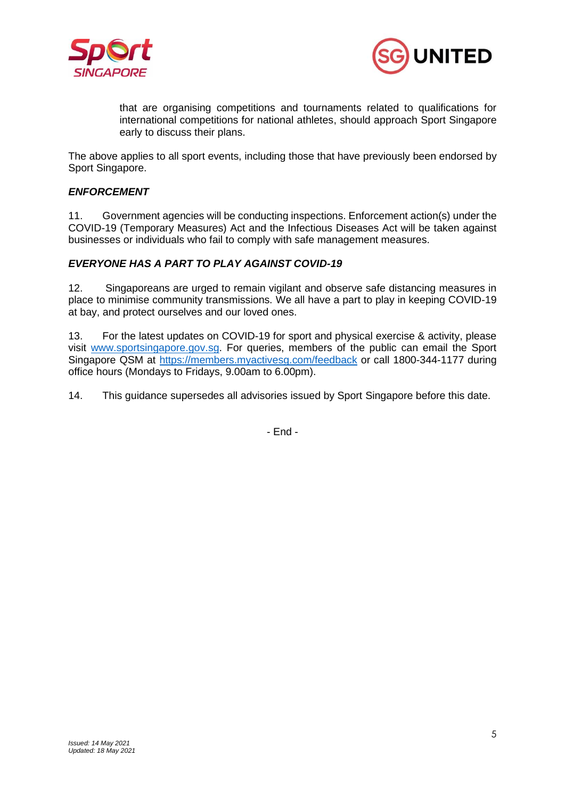



that are organising competitions and tournaments related to qualifications for international competitions for national athletes, should approach Sport Singapore early to discuss their plans.

The above applies to all sport events, including those that have previously been endorsed by Sport Singapore.

#### *ENFORCEMENT*

11. Government agencies will be conducting inspections. Enforcement action(s) under the COVID-19 (Temporary Measures) Act and the Infectious Diseases Act will be taken against businesses or individuals who fail to comply with safe management measures.

#### *EVERYONE HAS A PART TO PLAY AGAINST COVID-19*

12. Singaporeans are urged to remain vigilant and observe safe distancing measures in place to minimise community transmissions. We all have a part to play in keeping COVID-19 at bay, and protect ourselves and our loved ones.

13. For the latest updates on COVID-19 for sport and physical exercise & activity, please visit [www.sportsingapore.gov.sg.](http://www.sportsingapore.gov.sg/) For queries, members of the public can email the Sport Singapore QSM at<https://members.myactivesg.com/feedback> or call 1800-344-1177 during office hours (Mondays to Fridays, 9.00am to 6.00pm).

14. This guidance supersedes all advisories issued by Sport Singapore before this date.

- End -